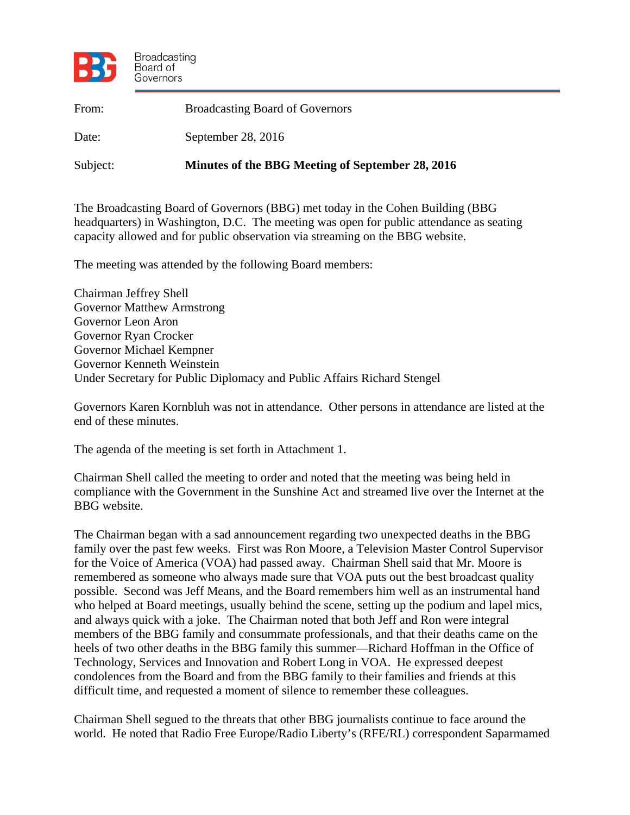

| From:    | <b>Broadcasting Board of Governors</b>           |
|----------|--------------------------------------------------|
| Date:    | September 28, $2016$                             |
| Subject: | Minutes of the BBG Meeting of September 28, 2016 |

The Broadcasting Board of Governors (BBG) met today in the Cohen Building (BBG headquarters) in Washington, D.C. The meeting was open for public attendance as seating capacity allowed and for public observation via streaming on the BBG website.

The meeting was attended by the following Board members:

Chairman Jeffrey Shell Governor Matthew Armstrong Governor Leon Aron Governor Ryan Crocker Governor Michael Kempner Governor Kenneth Weinstein Under Secretary for Public Diplomacy and Public Affairs Richard Stengel

Governors Karen Kornbluh was not in attendance. Other persons in attendance are listed at the end of these minutes.

The agenda of the meeting is set forth in Attachment 1.

Chairman Shell called the meeting to order and noted that the meeting was being held in compliance with the Government in the Sunshine Act and streamed live over the Internet at the BBG website.

The Chairman began with a sad announcement regarding two unexpected deaths in the BBG family over the past few weeks. First was Ron Moore, a Television Master Control Supervisor for the Voice of America (VOA) had passed away. Chairman Shell said that Mr. Moore is remembered as someone who always made sure that VOA puts out the best broadcast quality possible. Second was Jeff Means, and the Board remembers him well as an instrumental hand who helped at Board meetings, usually behind the scene, setting up the podium and lapel mics, and always quick with a joke. The Chairman noted that both Jeff and Ron were integral members of the BBG family and consummate professionals, and that their deaths came on the heels of two other deaths in the BBG family this summer—Richard Hoffman in the Office of Technology, Services and Innovation and Robert Long in VOA. He expressed deepest condolences from the Board and from the BBG family to their families and friends at this difficult time, and requested a moment of silence to remember these colleagues.

Chairman Shell segued to the threats that other BBG journalists continue to face around the world. He noted that Radio Free Europe/Radio Liberty's (RFE/RL) correspondent Saparmamed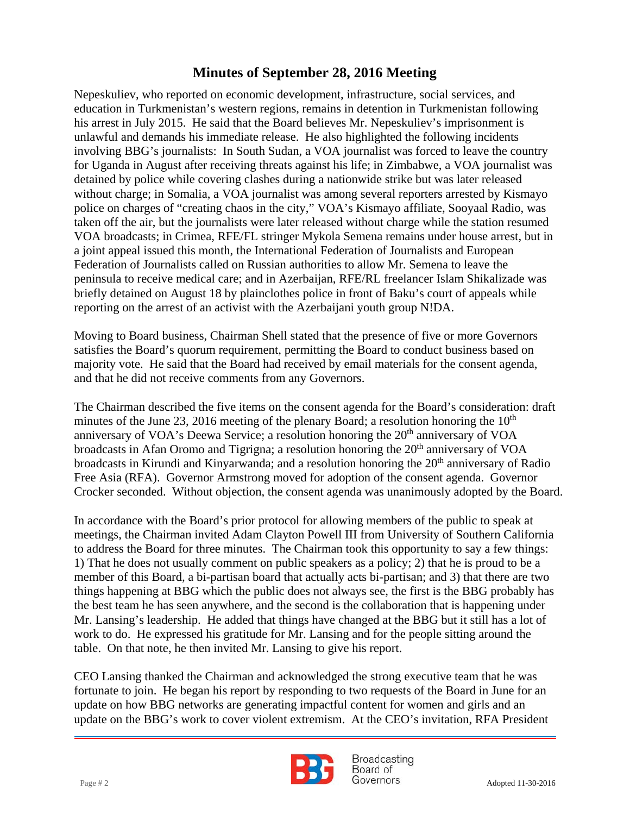involving BBG's journalists: In South Sudan, a VOA journalist was forced to leave the country Nepeskuliev, who reported on economic development, infrastructure, social services, and education in Turkmenistan's western regions, remains in detention in Turkmenistan following his arrest in July 2015. He said that the Board believes Mr. Nepeskuliev's imprisonment is unlawful and demands his immediate release. He also highlighted the following incidents for Uganda in August after receiving threats against his life; in Zimbabwe, a VOA journalist was detained by police while covering clashes during a nationwide strike but was later released without charge; in Somalia, a VOA journalist was among several reporters arrested by Kismayo police on charges of "creating chaos in the city," VOA's Kismayo affiliate, Sooyaal Radio, was taken off the air, but the journalists were later released without charge while the station resumed VOA broadcasts; in Crimea, RFE/FL stringer Mykola Semena remains under house arrest, but in a joint appeal issued this month, the International Federation of Journalists and European Federation of Journalists called on Russian authorities to allow Mr. Semena to leave the peninsula to receive medical care; and in Azerbaijan, RFE/RL freelancer Islam Shikalizade was briefly detained on August 18 by plainclothes police in front of Baku's court of appeals while reporting on the arrest of an activist with the Azerbaijani youth group N!DA.

Moving to Board business, Chairman Shell stated that the presence of five or more Governors satisfies the Board's quorum requirement, permitting the Board to conduct business based on majority vote. He said that the Board had received by email materials for the consent agenda, and that he did not receive comments from any Governors.

The Chairman described the five items on the consent agenda for the Board's consideration: draft minutes of the June 23, 2016 meeting of the plenary Board; a resolution honoring the  $10<sup>th</sup>$ anniversary of VOA's Deewa Service; a resolution honoring the 20<sup>th</sup> anniversary of VOA broadcasts in Afan Oromo and Tigrigna; a resolution honoring the 20<sup>th</sup> anniversary of VOA broadcasts in Kirundi and Kinyarwanda; and a resolution honoring the  $20<sup>th</sup>$  anniversary of Radio Free Asia (RFA). Governor Armstrong moved for adoption of the consent agenda. Governor Crocker seconded. Without objection, the consent agenda was unanimously adopted by the Board.

In accordance with the Board's prior protocol for allowing members of the public to speak at meetings, the Chairman invited Adam Clayton Powell III from University of Southern California to address the Board for three minutes. The Chairman took this opportunity to say a few things: 1) That he does not usually comment on public speakers as a policy; 2) that he is proud to be a member of this Board, a bi-partisan board that actually acts bi-partisan; and 3) that there are two things happening at BBG which the public does not always see, the first is the BBG probably has the best team he has seen anywhere, and the second is the collaboration that is happening under Mr. Lansing's leadership. He added that things have changed at the BBG but it still has a lot of work to do. He expressed his gratitude for Mr. Lansing and for the people sitting around the table. On that note, he then invited Mr. Lansing to give his report.

CEO Lansing thanked the Chairman and acknowledged the strong executive team that he was fortunate to join. He began his report by responding to two requests of the Board in June for an update on how BBG networks are generating impactful content for women and girls and an update on the BBG's work to cover violent extremism. At the CEO's invitation, RFA President



Broadcasting Board of Page # 2 Adopted 11-30-2016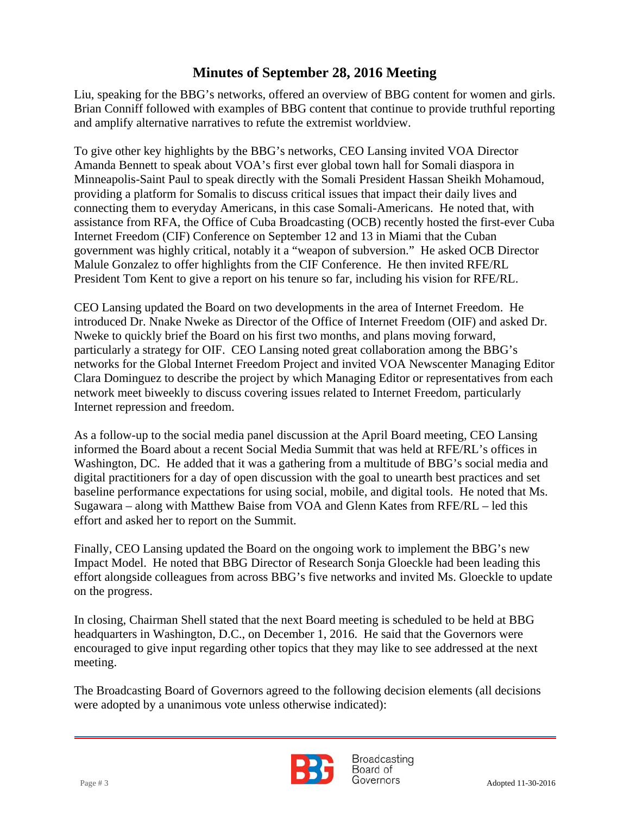Liu, speaking for the BBG's networks, offered an overview of BBG content for women and girls. Brian Conniff followed with examples of BBG content that continue to provide truthful reporting and amplify alternative narratives to refute the extremist worldview.

 To give other key highlights by the BBG's networks, CEO Lansing invited VOA Director Amanda Bennett to speak about VOA's first ever global town hall for Somali diaspora in Minneapolis-Saint Paul to speak directly with the Somali President Hassan Sheikh Mohamoud, providing a platform for Somalis to discuss critical issues that impact their daily lives and connecting them to everyday Americans, in this case Somali-Americans. He noted that, with assistance from RFA, the Office of Cuba Broadcasting (OCB) recently hosted the first-ever Cuba Internet Freedom (CIF) Conference on September 12 and 13 in Miami that the Cuban government was highly critical, notably it a "weapon of subversion." He asked OCB Director Malule Gonzalez to offer highlights from the CIF Conference. He then invited RFE/RL President Tom Kent to give a report on his tenure so far, including his vision for RFE/RL.

CEO Lansing updated the Board on two developments in the area of Internet Freedom. He introduced Dr. Nnake Nweke as Director of the Office of Internet Freedom (OIF) and asked Dr. Nweke to quickly brief the Board on his first two months, and plans moving forward, particularly a strategy for OIF. CEO Lansing noted great collaboration among the BBG's networks for the Global Internet Freedom Project and invited VOA Newscenter Managing Editor Clara Dominguez to describe the project by which Managing Editor or representatives from each network meet biweekly to discuss covering issues related to Internet Freedom, particularly Internet repression and freedom.

As a follow-up to the social media panel discussion at the April Board meeting, CEO Lansing informed the Board about a recent Social Media Summit that was held at RFE/RL's offices in Washington, DC. He added that it was a gathering from a multitude of BBG's social media and digital practitioners for a day of open discussion with the goal to unearth best practices and set baseline performance expectations for using social, mobile, and digital tools. He noted that Ms. Sugawara – along with Matthew Baise from VOA and Glenn Kates from RFE/RL – led this effort and asked her to report on the Summit.

Finally, CEO Lansing updated the Board on the ongoing work to implement the BBG's new Impact Model. He noted that BBG Director of Research Sonja Gloeckle had been leading this effort alongside colleagues from across BBG's five networks and invited Ms. Gloeckle to update on the progress.

In closing, Chairman Shell stated that the next Board meeting is scheduled to be held at BBG headquarters in Washington, D.C., on December 1, 2016. He said that the Governors were encouraged to give input regarding other topics that they may like to see addressed at the next meeting.

The Broadcasting Board of Governors agreed to the following decision elements (all decisions were adopted by a unanimous vote unless otherwise indicated):



Broadcasting Board of Page # 3 Adopted 11-30-2016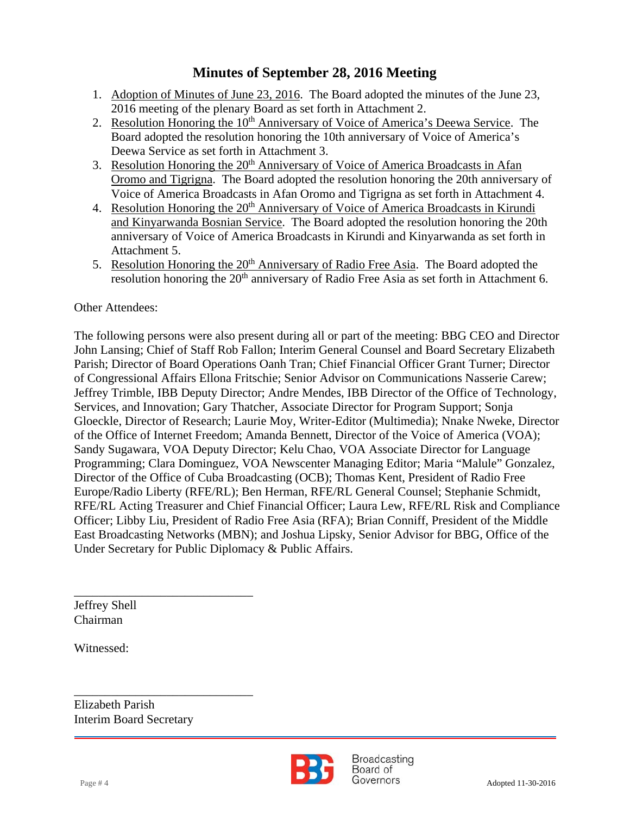- 1. Adoption of Minutes of June 23, 2016. The Board adopted the minutes of the June 23, 2016 meeting of the plenary Board as set forth in Attachment 2.
- 2. Resolution Honoring the 10<sup>th</sup> Anniversary of Voice of America's Deewa Service. The Board adopted the resolution honoring the 10th anniversary of Voice of America's Deewa Service as set forth in Attachment 3.
- 3. Resolution Honoring the 20<sup>th</sup> Anniversary of Voice of America Broadcasts in Afan Oromo and Tigrigna. The Board adopted the resolution honoring the 20th anniversary of Voice of America Broadcasts in Afan Oromo and Tigrigna as set forth in Attachment 4.
- 4. Resolution Honoring the 20<sup>th</sup> Anniversary of Voice of America Broadcasts in Kirundi and Kinyarwanda Bosnian Service. The Board adopted the resolution honoring the 20th anniversary of Voice of America Broadcasts in Kirundi and Kinyarwanda as set forth in Attachment 5.
- 5. Resolution Honoring the  $20<sup>th</sup>$  Anniversary of Radio Free Asia. The Board adopted the resolution honoring the 20<sup>th</sup> anniversary of Radio Free Asia as set forth in Attachment 6.

### Other Attendees:

The following persons were also present during all or part of the meeting: BBG CEO and Director John Lansing; Chief of Staff Rob Fallon; Interim General Counsel and Board Secretary Elizabeth Parish; Director of Board Operations Oanh Tran; Chief Financial Officer Grant Turner; Director of Congressional Affairs Ellona Fritschie; Senior Advisor on Communications Nasserie Carew; Jeffrey Trimble, IBB Deputy Director; Andre Mendes, IBB Director of the Office of Technology, Services, and Innovation; Gary Thatcher, Associate Director for Program Support; Sonja Gloeckle, Director of Research; Laurie Moy, Writer-Editor (Multimedia); Nnake Nweke, Director of the Office of Internet Freedom; Amanda Bennett, Director of the Voice of America (VOA); Sandy Sugawara, VOA Deputy Director; Kelu Chao, VOA Associate Director for Language Programming; Clara Dominguez, VOA Newscenter Managing Editor; Maria "Malule" Gonzalez, Director of the Office of Cuba Broadcasting (OCB); Thomas Kent, President of Radio Free Europe/Radio Liberty (RFE/RL); Ben Herman, RFE/RL General Counsel; Stephanie Schmidt, RFE/RL Acting Treasurer and Chief Financial Officer; Laura Lew, RFE/RL Risk and Compliance Officer; Libby Liu, President of Radio Free Asia (RFA); Brian Conniff, President of the Middle East Broadcasting Networks (MBN); and Joshua Lipsky, Senior Advisor for BBG, Office of the Under Secretary for Public Diplomacy & Public Affairs.

Jeffrey Shell Chairman

Witnessed:

Elizabeth Parish Interim Board Secretary

\_\_\_\_\_\_\_\_\_\_\_\_\_\_\_\_\_\_\_\_\_\_\_\_\_\_\_\_\_

\_\_\_\_\_\_\_\_\_\_\_\_\_\_\_\_\_\_\_\_\_\_\_\_\_\_\_\_\_



**Broadcasting** Board of Page # 4 Adopted 11-30-2016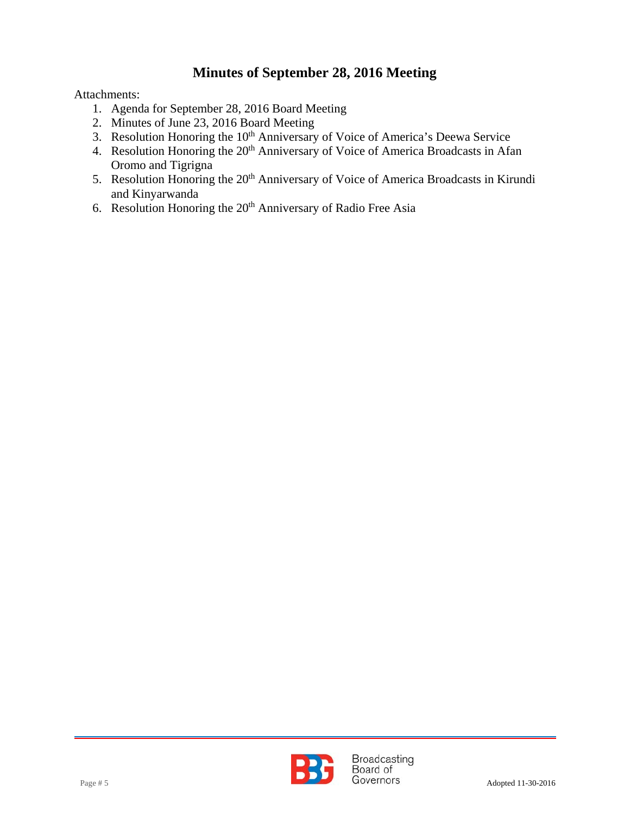Attachments:

- 1. Agenda for September 28, 2016 Board Meeting
- 2. Minutes of June 23, 2016 Board Meeting
- 3. Resolution Honoring the 10<sup>th</sup> Anniversary of Voice of America's Deewa Service
- 4. Resolution Honoring the 20<sup>th</sup> Anniversary of Voice of America Broadcasts in Afan Oromo and Tigrigna
- 5. Resolution Honoring the 20<sup>th</sup> Anniversary of Voice of America Broadcasts in Kirundi and Kinyarwanda
- 6. Resolution Honoring the  $20<sup>th</sup>$  Anniversary of Radio Free Asia

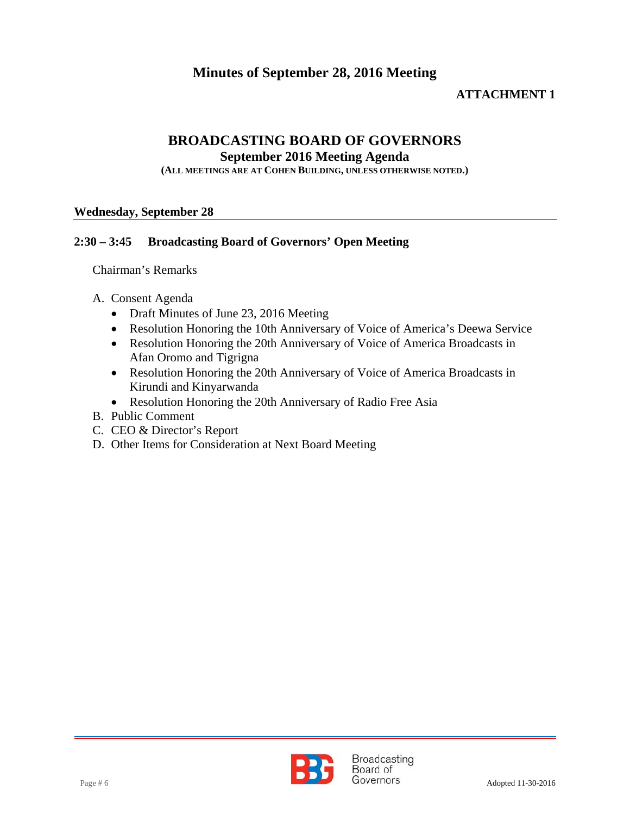#### **ATTACHMENT 1**

### **BROADCASTING BOARD OF GOVERNORS**

**September 2016 Meeting Agenda** 

**(ALL MEETINGS ARE AT COHEN BUILDING, UNLESS OTHERWISE NOTED.)**

#### **Wednesday, September 28**

#### **2:30 – 3:45 Broadcasting Board of Governors' Open Meeting**

Chairman's Remarks

- A. Consent Agenda
	- Draft Minutes of June 23, 2016 Meeting
	- Resolution Honoring the 10th Anniversary of Voice of America's Deewa Service
	- Resolution Honoring the 20th Anniversary of Voice of America Broadcasts in Afan Oromo and Tigrigna
	- Resolution Honoring the 20th Anniversary of Voice of America Broadcasts in Kirundi and Kinyarwanda
	- Resolution Honoring the 20th Anniversary of Radio Free Asia
- B. Public Comment
- C. CEO & Director's Report
- D. Other Items for Consideration at Next Board Meeting

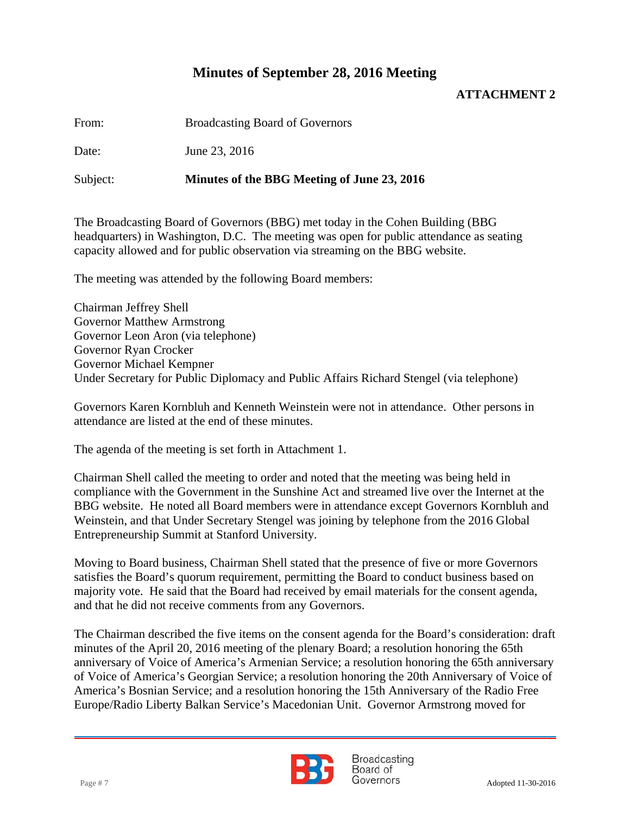### **ATTACHMENT 2**

From: Broadcasting Board of Governors

Date: June 23, 2016

Subject: **Minutes of the BBG Meeting of June 23, 2016**

The Broadcasting Board of Governors (BBG) met today in the Cohen Building (BBG headquarters) in Washington, D.C. The meeting was open for public attendance as seating capacity allowed and for public observation via streaming on the BBG website.

The meeting was attended by the following Board members:

Chairman Jeffrey Shell Governor Matthew Armstrong Governor Leon Aron (via telephone) Governor Ryan Crocker Governor Michael Kempner Under Secretary for Public Diplomacy and Public Affairs Richard Stengel (via telephone)

Governors Karen Kornbluh and Kenneth Weinstein were not in attendance. Other persons in attendance are listed at the end of these minutes.

The agenda of the meeting is set forth in Attachment 1.

Chairman Shell called the meeting to order and noted that the meeting was being held in compliance with the Government in the Sunshine Act and streamed live over the Internet at the BBG website. He noted all Board members were in attendance except Governors Kornbluh and Weinstein, and that Under Secretary Stengel was joining by telephone from the 2016 Global Entrepreneurship Summit at Stanford University.

Moving to Board business, Chairman Shell stated that the presence of five or more Governors satisfies the Board's quorum requirement, permitting the Board to conduct business based on majority vote. He said that the Board had received by email materials for the consent agenda, and that he did not receive comments from any Governors.

The Chairman described the five items on the consent agenda for the Board's consideration: draft minutes of the April 20, 2016 meeting of the plenary Board; a resolution honoring the 65th anniversary of Voice of America's Armenian Service; a resolution honoring the 65th anniversary of Voice of America's Georgian Service; a resolution honoring the 20th Anniversary of Voice of America's Bosnian Service; and a resolution honoring the 15th Anniversary of the Radio Free Europe/Radio Liberty Balkan Service's Macedonian Unit. Governor Armstrong moved for



**Broadcasting** Board of Page # 7 Adopted 11-30-2016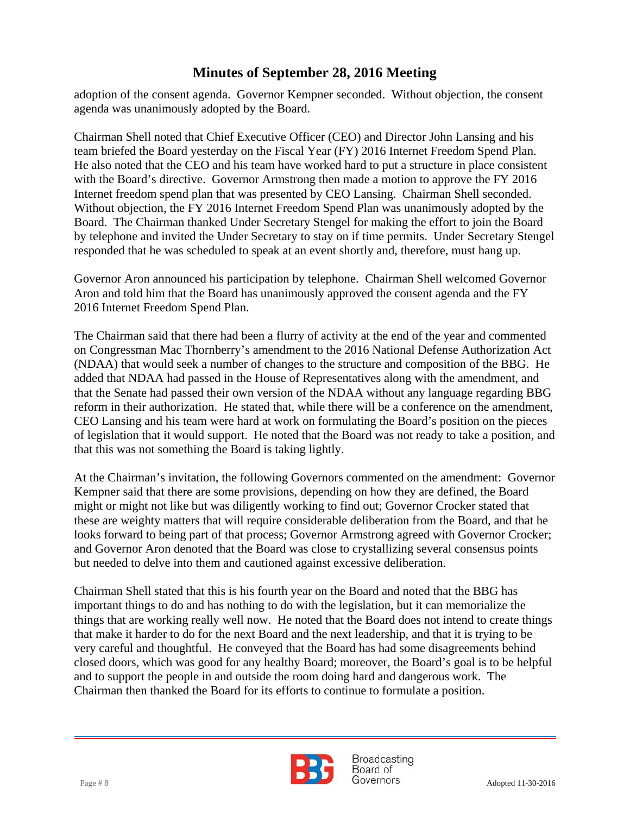adoption of the consent agenda. Governor Kempner seconded. Without objection, the consent agenda was unanimously adopted by the Board.

 team briefed the Board yesterday on the Fiscal Year (FY) 2016 Internet Freedom Spend Plan. Chairman Shell noted that Chief Executive Officer (CEO) and Director John Lansing and his He also noted that the CEO and his team have worked hard to put a structure in place consistent with the Board's directive. Governor Armstrong then made a motion to approve the FY 2016 Internet freedom spend plan that was presented by CEO Lansing. Chairman Shell seconded. Without objection, the FY 2016 Internet Freedom Spend Plan was unanimously adopted by the Board. The Chairman thanked Under Secretary Stengel for making the effort to join the Board by telephone and invited the Under Secretary to stay on if time permits. Under Secretary Stengel responded that he was scheduled to speak at an event shortly and, therefore, must hang up.

Governor Aron announced his participation by telephone. Chairman Shell welcomed Governor Aron and told him that the Board has unanimously approved the consent agenda and the FY 2016 Internet Freedom Spend Plan.

The Chairman said that there had been a flurry of activity at the end of the year and commented on Congressman Mac Thornberry's amendment to the 2016 National Defense Authorization Act (NDAA) that would seek a number of changes to the structure and composition of the BBG. He added that NDAA had passed in the House of Representatives along with the amendment, and that the Senate had passed their own version of the NDAA without any language regarding BBG reform in their authorization. He stated that, while there will be a conference on the amendment, CEO Lansing and his team were hard at work on formulating the Board's position on the pieces of legislation that it would support. He noted that the Board was not ready to take a position, and that this was not something the Board is taking lightly.

At the Chairman's invitation, the following Governors commented on the amendment: Governor Kempner said that there are some provisions, depending on how they are defined, the Board might or might not like but was diligently working to find out; Governor Crocker stated that these are weighty matters that will require considerable deliberation from the Board, and that he looks forward to being part of that process; Governor Armstrong agreed with Governor Crocker; and Governor Aron denoted that the Board was close to crystallizing several consensus points but needed to delve into them and cautioned against excessive deliberation.

Chairman Shell stated that this is his fourth year on the Board and noted that the BBG has important things to do and has nothing to do with the legislation, but it can memorialize the things that are working really well now. He noted that the Board does not intend to create things that make it harder to do for the next Board and the next leadership, and that it is trying to be very careful and thoughtful. He conveyed that the Board has had some disagreements behind closed doors, which was good for any healthy Board; moreover, the Board's goal is to be helpful and to support the people in and outside the room doing hard and dangerous work. The Chairman then thanked the Board for its efforts to continue to formulate a position.



**Broadcasting** Board of Page # 8 Adopted 11-30-2016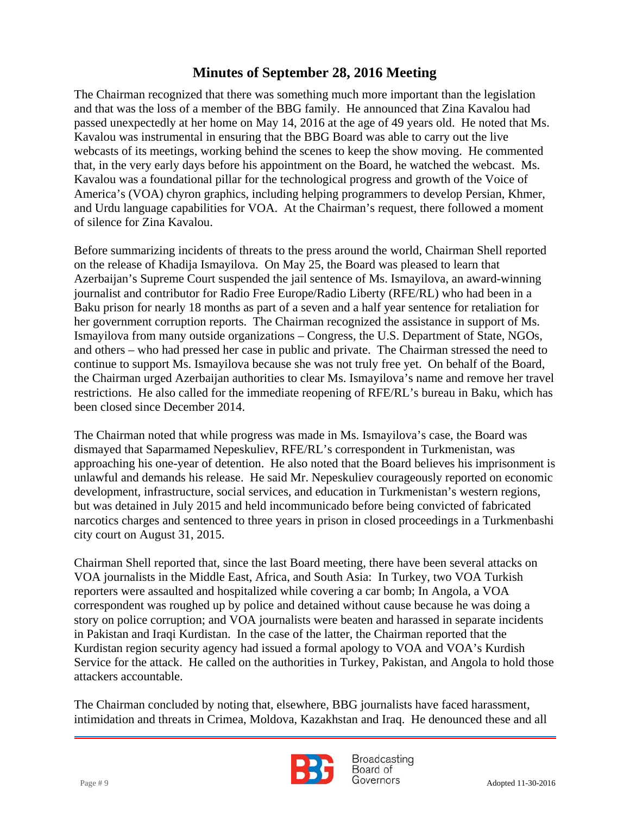webcasts of its meetings, working behind the scenes to keep the show moving. He commented The Chairman recognized that there was something much more important than the legislation and that was the loss of a member of the BBG family. He announced that Zina Kavalou had passed unexpectedly at her home on May 14, 2016 at the age of 49 years old. He noted that Ms. Kavalou was instrumental in ensuring that the BBG Board was able to carry out the live that, in the very early days before his appointment on the Board, he watched the webcast. Ms. Kavalou was a foundational pillar for the technological progress and growth of the Voice of America's (VOA) chyron graphics, including helping programmers to develop Persian, Khmer, and Urdu language capabilities for VOA. At the Chairman's request, there followed a moment of silence for Zina Kavalou.

Before summarizing incidents of threats to the press around the world, Chairman Shell reported on the release of Khadija Ismayilova. On May 25, the Board was pleased to learn that Azerbaijan's Supreme Court suspended the jail sentence of Ms. Ismayilova, an award-winning journalist and contributor for Radio Free Europe/Radio Liberty (RFE/RL) who had been in a Baku prison for nearly 18 months as part of a seven and a half year sentence for retaliation for her government corruption reports. The Chairman recognized the assistance in support of Ms. Ismayilova from many outside organizations – Congress, the U.S. Department of State, NGOs, and others – who had pressed her case in public and private. The Chairman stressed the need to continue to support Ms. Ismayilova because she was not truly free yet. On behalf of the Board, the Chairman urged Azerbaijan authorities to clear Ms. Ismayilova's name and remove her travel restrictions. He also called for the immediate reopening of RFE/RL's bureau in Baku, which has been closed since December 2014.

The Chairman noted that while progress was made in Ms. Ismayilova's case, the Board was dismayed that Saparmamed Nepeskuliev, RFE/RL's correspondent in Turkmenistan, was approaching his one-year of detention. He also noted that the Board believes his imprisonment is unlawful and demands his release. He said Mr. Nepeskuliev courageously reported on economic development, infrastructure, social services, and education in Turkmenistan's western regions, but was detained in July 2015 and held incommunicado before being convicted of fabricated narcotics charges and sentenced to three years in prison in closed proceedings in a Turkmenbashi city court on August 31, 2015.

Chairman Shell reported that, since the last Board meeting, there have been several attacks on VOA journalists in the Middle East, Africa, and South Asia: In Turkey, two VOA Turkish reporters were assaulted and hospitalized while covering a car bomb; In Angola, a VOA correspondent was roughed up by police and detained without cause because he was doing a story on police corruption; and VOA journalists were beaten and harassed in separate incidents in Pakistan and Iraqi Kurdistan. In the case of the latter, the Chairman reported that the Kurdistan region security agency had issued a formal apology to VOA and VOA's Kurdish Service for the attack. He called on the authorities in Turkey, Pakistan, and Angola to hold those attackers accountable.

The Chairman concluded by noting that, elsewhere, BBG journalists have faced harassment, intimidation and threats in Crimea, Moldova, Kazakhstan and Iraq. He denounced these and all



Broadcasting Board of Page # 9 Adopted 11-30-2016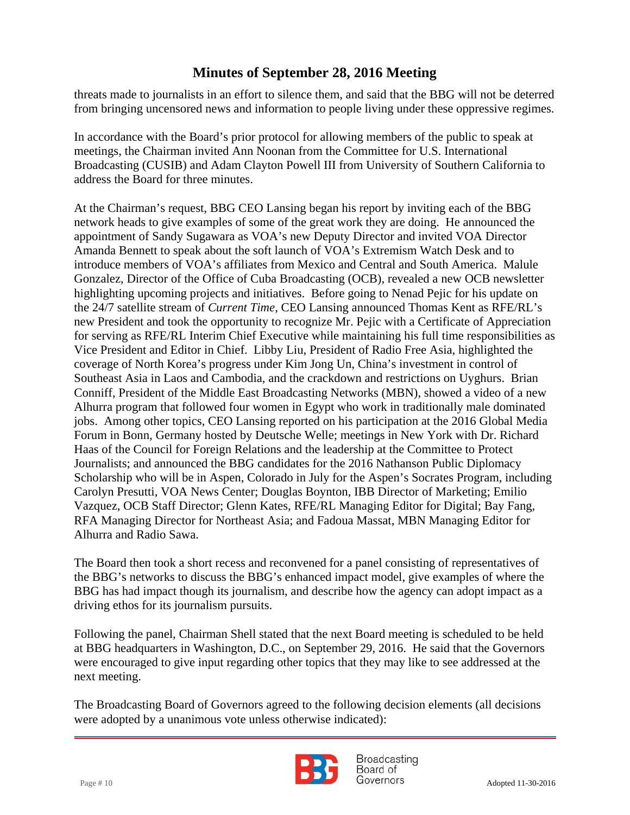threats made to journalists in an effort to silence them, and said that the BBG will not be deterred from bringing uncensored news and information to people living under these oppressive regimes.

 meetings, the Chairman invited Ann Noonan from the Committee for U.S. International In accordance with the Board's prior protocol for allowing members of the public to speak at Broadcasting (CUSIB) and Adam Clayton Powell III from University of Southern California to address the Board for three minutes.

At the Chairman's request, BBG CEO Lansing began his report by inviting each of the BBG network heads to give examples of some of the great work they are doing. He announced the appointment of Sandy Sugawara as VOA's new Deputy Director and invited VOA Director Amanda Bennett to speak about the soft launch of VOA's Extremism Watch Desk and to introduce members of VOA's affiliates from Mexico and Central and South America. Malule Gonzalez, Director of the Office of Cuba Broadcasting (OCB), revealed a new OCB newsletter highlighting upcoming projects and initiatives. Before going to Nenad Pejic for his update on the 24/7 satellite stream of *Current Time*, CEO Lansing announced Thomas Kent as RFE/RL's new President and took the opportunity to recognize Mr. Pejic with a Certificate of Appreciation for serving as RFE/RL Interim Chief Executive while maintaining his full time responsibilities as Vice President and Editor in Chief. Libby Liu, President of Radio Free Asia, highlighted the coverage of North Korea's progress under Kim Jong Un, China's investment in control of Southeast Asia in Laos and Cambodia, and the crackdown and restrictions on Uyghurs. Brian Conniff, President of the Middle East Broadcasting Networks (MBN), showed a video of a new Alhurra program that followed four women in Egypt who work in traditionally male dominated jobs. Among other topics, CEO Lansing reported on his participation at the 2016 Global Media Forum in Bonn, Germany hosted by Deutsche Welle; meetings in New York with Dr. Richard Haas of the Council for Foreign Relations and the leadership at the Committee to Protect Journalists; and announced the BBG candidates for the 2016 Nathanson Public Diplomacy Scholarship who will be in Aspen, Colorado in July for the Aspen's Socrates Program, including Carolyn Presutti, VOA News Center; Douglas Boynton, IBB Director of Marketing; Emilio Vazquez, OCB Staff Director; Glenn Kates, RFE/RL Managing Editor for Digital; Bay Fang, RFA Managing Director for Northeast Asia; and Fadoua Massat, MBN Managing Editor for Alhurra and Radio Sawa.

The Board then took a short recess and reconvened for a panel consisting of representatives of the BBG's networks to discuss the BBG's enhanced impact model, give examples of where the BBG has had impact though its journalism, and describe how the agency can adopt impact as a driving ethos for its journalism pursuits.

Following the panel, Chairman Shell stated that the next Board meeting is scheduled to be held at BBG headquarters in Washington, D.C., on September 29, 2016. He said that the Governors were encouraged to give input regarding other topics that they may like to see addressed at the next meeting.

The Broadcasting Board of Governors agreed to the following decision elements (all decisions were adopted by a unanimous vote unless otherwise indicated):



**Broadcasting** Board of Page # 10 Adopted 11-30-2016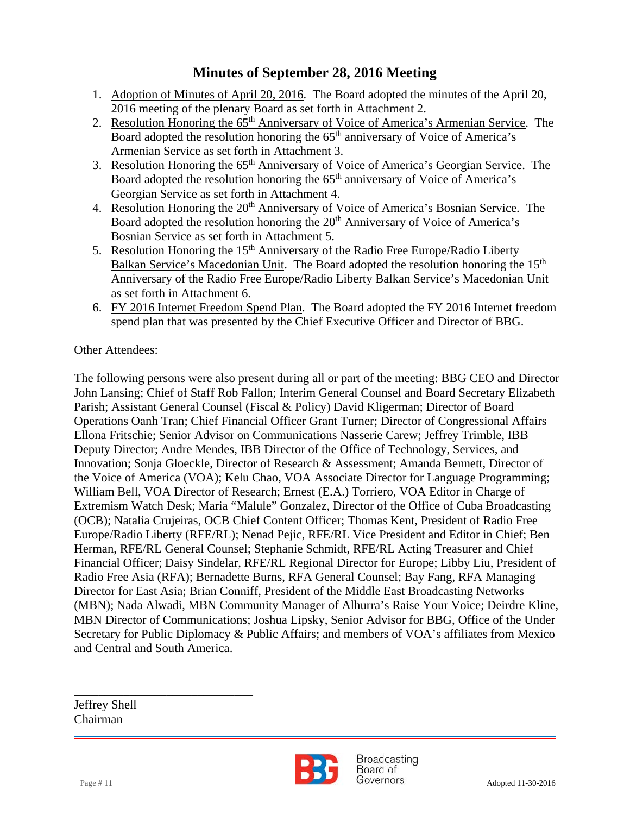- 1. Adoption of Minutes of April 20, 2016. The Board adopted the minutes of the April 20, 2016 meeting of the plenary Board as set forth in Attachment 2.
- 2. Resolution Honoring the 65<sup>th</sup> Anniversary of Voice of America's Armenian Service. The Board adopted the resolution honoring the 65<sup>th</sup> anniversary of Voice of America's Armenian Service as set forth in Attachment 3.
- 3. Resolution Honoring the 65th Anniversary of Voice of America's Georgian Service. The Board adopted the resolution honoring the 65<sup>th</sup> anniversary of Voice of America's Georgian Service as set forth in Attachment 4.
- 4. Resolution Honoring the 20<sup>th</sup> Anniversary of Voice of America's Bosnian Service. The Board adopted the resolution honoring the 20<sup>th</sup> Anniversary of Voice of America's Bosnian Service as set forth in Attachment 5.
- 5. Resolution Honoring the 15<sup>th</sup> Anniversary of the Radio Free Europe/Radio Liberty Balkan Service's Macedonian Unit. The Board adopted the resolution honoring the 15<sup>th</sup> Anniversary of the Radio Free Europe/Radio Liberty Balkan Service's Macedonian Unit as set forth in Attachment 6.
- 6. FY 2016 Internet Freedom Spend Plan. The Board adopted the FY 2016 Internet freedom spend plan that was presented by the Chief Executive Officer and Director of BBG.

### Other Attendees:

The following persons were also present during all or part of the meeting: BBG CEO and Director John Lansing; Chief of Staff Rob Fallon; Interim General Counsel and Board Secretary Elizabeth Parish; Assistant General Counsel (Fiscal & Policy) David Kligerman; Director of Board Operations Oanh Tran; Chief Financial Officer Grant Turner; Director of Congressional Affairs Ellona Fritschie; Senior Advisor on Communications Nasserie Carew; Jeffrey Trimble, IBB Deputy Director; Andre Mendes, IBB Director of the Office of Technology, Services, and Innovation; Sonja Gloeckle, Director of Research & Assessment; Amanda Bennett, Director of the Voice of America (VOA); Kelu Chao, VOA Associate Director for Language Programming; William Bell, VOA Director of Research; Ernest (E.A.) Torriero, VOA Editor in Charge of Extremism Watch Desk; Maria "Malule" Gonzalez, Director of the Office of Cuba Broadcasting (OCB); Natalia Crujeiras, OCB Chief Content Officer; Thomas Kent, President of Radio Free Europe/Radio Liberty (RFE/RL); Nenad Pejic, RFE/RL Vice President and Editor in Chief; Ben Herman, RFE/RL General Counsel; Stephanie Schmidt, RFE/RL Acting Treasurer and Chief Financial Officer; Daisy Sindelar, RFE/RL Regional Director for Europe; Libby Liu, President of Radio Free Asia (RFA); Bernadette Burns, RFA General Counsel; Bay Fang, RFA Managing Director for East Asia; Brian Conniff, President of the Middle East Broadcasting Networks (MBN); Nada Alwadi, MBN Community Manager of Alhurra's Raise Your Voice; Deirdre Kline, MBN Director of Communications; Joshua Lipsky, Senior Advisor for BBG, Office of the Under Secretary for Public Diplomacy & Public Affairs; and members of VOA's affiliates from Mexico and Central and South America.

Jeffrey Shell Chairman

\_\_\_\_\_\_\_\_\_\_\_\_\_\_\_\_\_\_\_\_\_\_\_\_\_\_\_\_\_



**Broadcasting** Board of Page # 11 Adopted 11-30-2016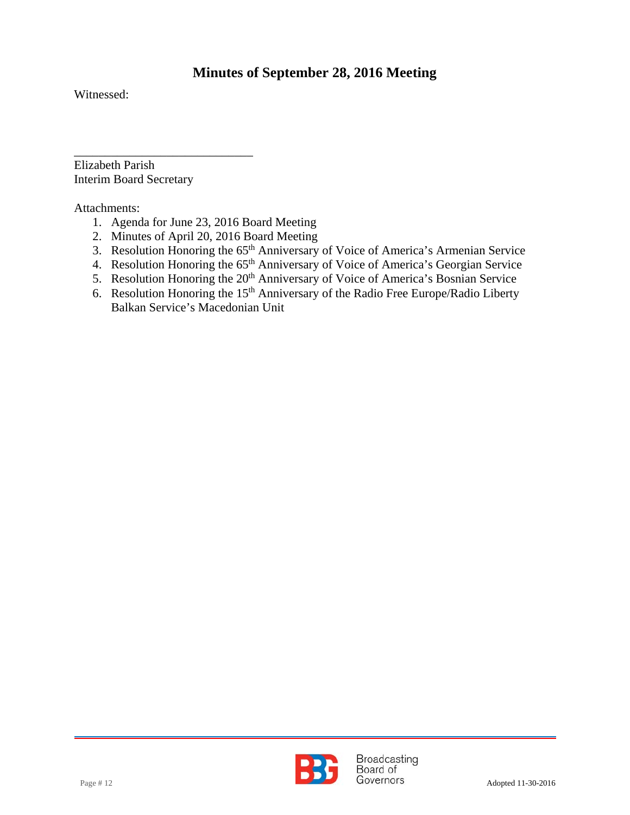Witnessed:

 $\overline{a}$ 

Elizabeth Parish Interim Board Secretary

\_\_\_\_\_\_\_\_\_\_\_\_\_\_\_\_\_\_\_\_\_\_\_\_\_\_\_\_\_

Attachments:

- 1. Agenda for June 23, 2016 Board Meeting
- 2. Minutes of April 20, 2016 Board Meeting
- 3. Resolution Honoring the 65<sup>th</sup> Anniversary of Voice of America's Armenian Service
- 4. Resolution Honoring the 65<sup>th</sup> Anniversary of Voice of America's Georgian Service
- 5. Resolution Honoring the 20<sup>th</sup> Anniversary of Voice of America's Bosnian Service
- 6. Resolution Honoring the 15<sup>th</sup> Anniversary of the Radio Free Europe/Radio Liberty Balkan Service's Macedonian Unit

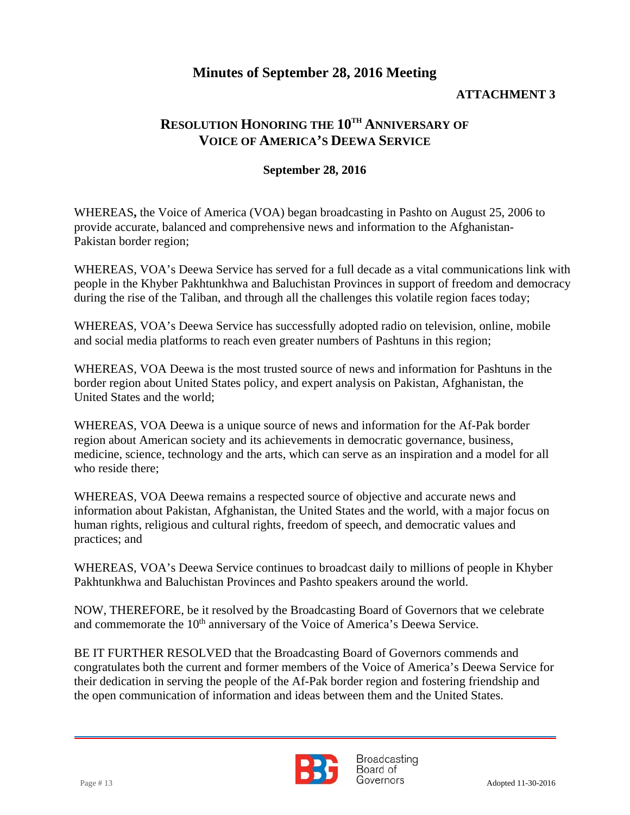### **ATTACHMENT 3**

## **RESOLUTION HONORING THE 10TH ANNIVERSARY OF VOICE OF AMERICA'S DEEWA SERVICE**

#### **September 28, 2016**

WHEREAS**,** the Voice of America (VOA) began broadcasting in Pashto on August 25, 2006 to provide accurate, balanced and comprehensive news and information to the Afghanistan-Pakistan border region;

WHEREAS, VOA's Deewa Service has served for a full decade as a vital communications link with people in the Khyber Pakhtunkhwa and Baluchistan Provinces in support of freedom and democracy during the rise of the Taliban, and through all the challenges this volatile region faces today;

WHEREAS, VOA's Deewa Service has successfully adopted radio on television, online, mobile and social media platforms to reach even greater numbers of Pashtuns in this region;

WHEREAS, VOA Deewa is the most trusted source of news and information for Pashtuns in the border region about United States policy, and expert analysis on Pakistan, Afghanistan, the United States and the world;

WHEREAS, VOA Deewa is a unique source of news and information for the Af-Pak border region about American society and its achievements in democratic governance, business, medicine, science, technology and the arts, which can serve as an inspiration and a model for all who reside there;

WHEREAS, VOA Deewa remains a respected source of objective and accurate news and information about Pakistan, Afghanistan, the United States and the world, with a major focus on human rights, religious and cultural rights, freedom of speech, and democratic values and practices; and

WHEREAS, VOA's Deewa Service continues to broadcast daily to millions of people in Khyber Pakhtunkhwa and Baluchistan Provinces and Pashto speakers around the world.

NOW, THEREFORE, be it resolved by the Broadcasting Board of Governors that we celebrate and commemorate the 10<sup>th</sup> anniversary of the Voice of America's Deewa Service.

BE IT FURTHER RESOLVED that the Broadcasting Board of Governors commends and congratulates both the current and former members of the Voice of America's Deewa Service for their dedication in serving the people of the Af-Pak border region and fostering friendship and the open communication of information and ideas between them and the United States.



**Broadcasting** Board of Page # 13 Adopted 11-30-2016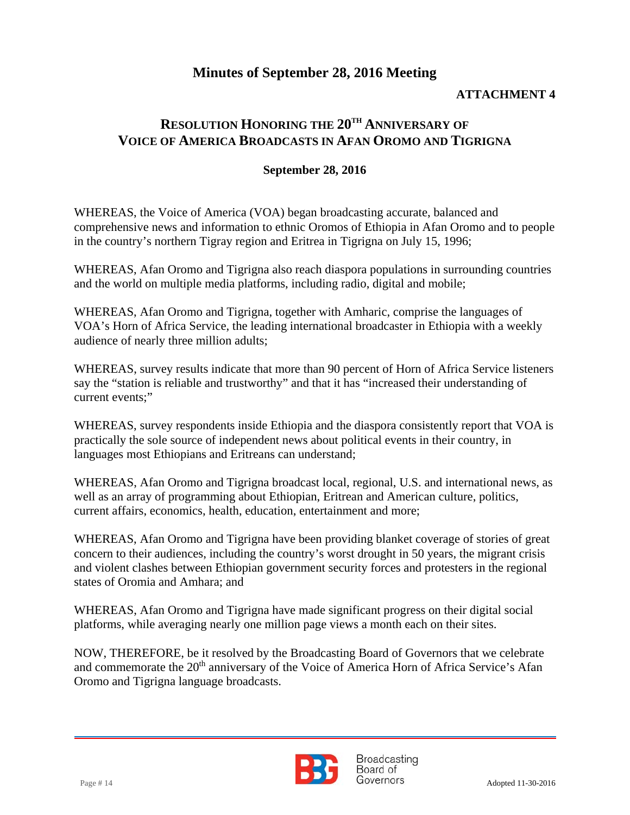### **ATTACHMENT 4**

### **RESOLUTION HONORING THE 20TH ANNIVERSARY OF VOICE OF AMERICA BROADCASTS IN AFAN OROMO AND TIGRIGNA**

#### **September 28, 2016**

WHEREAS, the Voice of America (VOA) began broadcasting accurate, balanced and comprehensive news and information to ethnic Oromos of Ethiopia in Afan Oromo and to people in the country's northern Tigray region and Eritrea in Tigrigna on July 15, 1996;

WHEREAS, Afan Oromo and Tigrigna also reach diaspora populations in surrounding countries and the world on multiple media platforms, including radio, digital and mobile;

WHEREAS, Afan Oromo and Tigrigna, together with Amharic, comprise the languages of VOA's Horn of Africa Service, the leading international broadcaster in Ethiopia with a weekly audience of nearly three million adults;

WHEREAS, survey results indicate that more than 90 percent of Horn of Africa Service listeners say the "station is reliable and trustworthy" and that it has "increased their understanding of current events;"

WHEREAS, survey respondents inside Ethiopia and the diaspora consistently report that VOA is practically the sole source of independent news about political events in their country, in languages most Ethiopians and Eritreans can understand;

WHEREAS, Afan Oromo and Tigrigna broadcast local, regional, U.S. and international news, as well as an array of programming about Ethiopian, Eritrean and American culture, politics, current affairs, economics, health, education, entertainment and more;

WHEREAS, Afan Oromo and Tigrigna have been providing blanket coverage of stories of great concern to their audiences, including the country's worst drought in 50 years, the migrant crisis and violent clashes between Ethiopian government security forces and protesters in the regional states of Oromia and Amhara; and

WHEREAS, Afan Oromo and Tigrigna have made significant progress on their digital social platforms, while averaging nearly one million page views a month each on their sites.

NOW, THEREFORE, be it resolved by the Broadcasting Board of Governors that we celebrate and commemorate the 20<sup>th</sup> anniversary of the Voice of America Horn of Africa Service's Afan Oromo and Tigrigna language broadcasts.



**Broadcasting** Board of Page # 14 Adopted 11-30-2016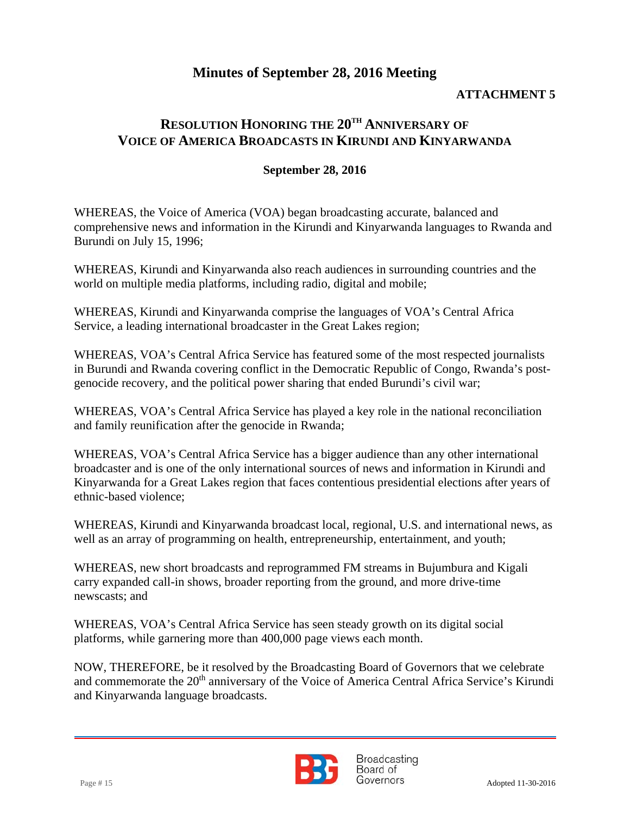### **ATTACHMENT 5**

### **RESOLUTION HONORING THE 20TH ANNIVERSARY OF VOICE OF AMERICA BROADCASTS IN KIRUNDI AND KINYARWANDA**

#### **September 28, 2016**

WHEREAS, the Voice of America (VOA) began broadcasting accurate, balanced and comprehensive news and information in the Kirundi and Kinyarwanda languages to Rwanda and Burundi on July 15, 1996;

WHEREAS, Kirundi and Kinyarwanda also reach audiences in surrounding countries and the world on multiple media platforms, including radio, digital and mobile;

WHEREAS, Kirundi and Kinyarwanda comprise the languages of VOA's Central Africa Service, a leading international broadcaster in the Great Lakes region;

WHEREAS, VOA's Central Africa Service has featured some of the most respected journalists in Burundi and Rwanda covering conflict in the Democratic Republic of Congo, Rwanda's postgenocide recovery, and the political power sharing that ended Burundi's civil war;

WHEREAS, VOA's Central Africa Service has played a key role in the national reconciliation and family reunification after the genocide in Rwanda;

WHEREAS, VOA's Central Africa Service has a bigger audience than any other international broadcaster and is one of the only international sources of news and information in Kirundi and Kinyarwanda for a Great Lakes region that faces contentious presidential elections after years of ethnic-based violence;

WHEREAS, Kirundi and Kinyarwanda broadcast local, regional, U.S. and international news, as well as an array of programming on health, entrepreneurship, entertainment, and youth;

WHEREAS, new short broadcasts and reprogrammed FM streams in Bujumbura and Kigali carry expanded call-in shows, broader reporting from the ground, and more drive-time newscasts; and

WHEREAS, VOA's Central Africa Service has seen steady growth on its digital social platforms, while garnering more than 400,000 page views each month.

NOW, THEREFORE, be it resolved by the Broadcasting Board of Governors that we celebrate and commemorate the 20<sup>th</sup> anniversary of the Voice of America Central Africa Service's Kirundi and Kinyarwanda language broadcasts.



**Broadcasting** Board of Page # 15 Adopted 11-30-2016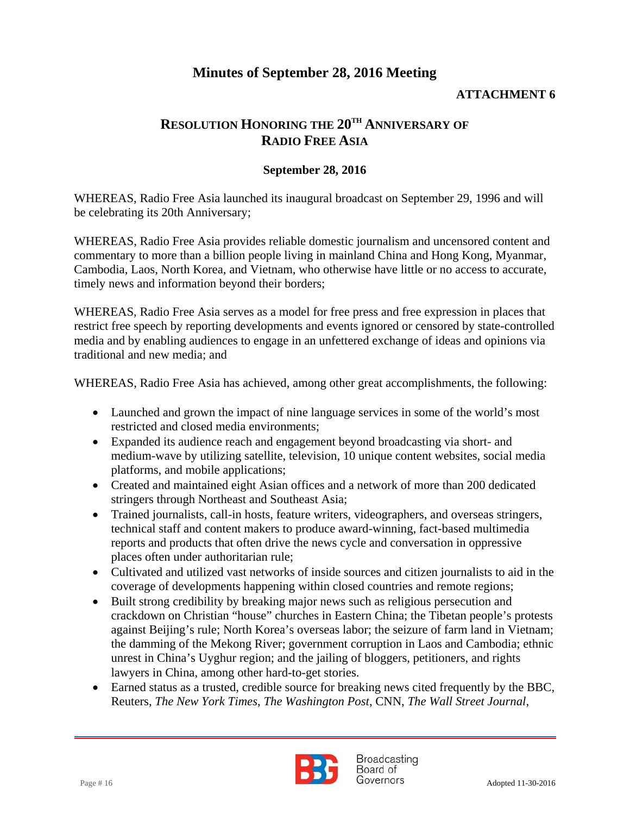#### **ATTACHMENT 6**

# **RESOLUTION HONORING THE 20TH ANNIVERSARY OF RADIO FREE ASIA**

#### **September 28, 2016**

WHEREAS, Radio Free Asia launched its inaugural broadcast on September 29, 1996 and will be celebrating its 20th Anniversary;

WHEREAS, Radio Free Asia provides reliable domestic journalism and uncensored content and commentary to more than a billion people living in mainland China and Hong Kong, Myanmar, Cambodia, Laos, North Korea, and Vietnam, who otherwise have little or no access to accurate, timely news and information beyond their borders;

WHEREAS, Radio Free Asia serves as a model for free press and free expression in places that restrict free speech by reporting developments and events ignored or censored by state-controlled media and by enabling audiences to engage in an unfettered exchange of ideas and opinions via traditional and new media; and

WHEREAS, Radio Free Asia has achieved, among other great accomplishments, the following:

- Launched and grown the impact of nine language services in some of the world's most restricted and closed media environments;
- Expanded its audience reach and engagement beyond broadcasting via short- and medium-wave by utilizing satellite, television, 10 unique content websites, social media platforms, and mobile applications;
- Created and maintained eight Asian offices and a network of more than 200 dedicated stringers through Northeast and Southeast Asia;
- Trained journalists, call-in hosts, feature writers, videographers, and overseas stringers, technical staff and content makers to produce award-winning, fact-based multimedia reports and products that often drive the news cycle and conversation in oppressive places often under authoritarian rule;
- Cultivated and utilized vast networks of inside sources and citizen journalists to aid in the coverage of developments happening within closed countries and remote regions;
- Built strong credibility by breaking major news such as religious persecution and crackdown on Christian "house" churches in Eastern China; the Tibetan people's protests against Beijing's rule; North Korea's overseas labor; the seizure of farm land in Vietnam; the damming of the Mekong River; government corruption in Laos and Cambodia; ethnic unrest in China's Uyghur region; and the jailing of bloggers, petitioners, and rights lawyers in China, among other hard-to-get stories.
- Earned status as a trusted, credible source for breaking news cited frequently by the BBC, Reuters, *The New York Times*, *The Washington Post*, CNN, *The Wall Street Journal*,



**Broadcasting** Board of Page # 16 Adopted 11-30-2016